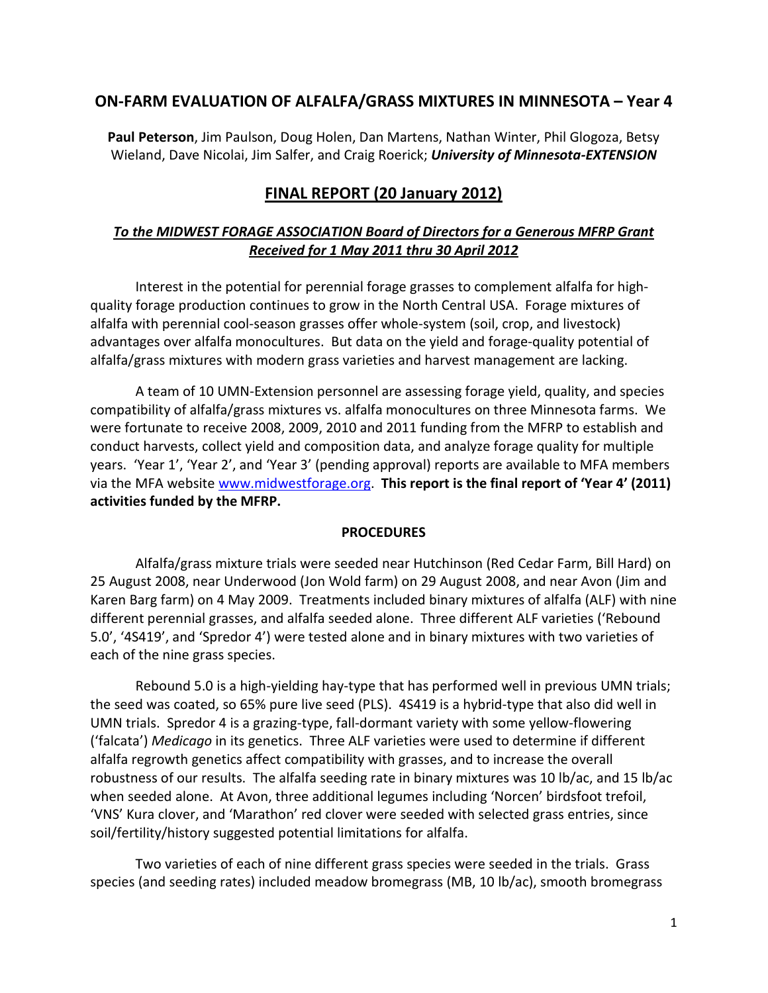## **ON-FARM EVALUATION OF ALFALFA/GRASS MIXTURES IN MINNESOTA – Year 4**

**Paul Peterson**, Jim Paulson, Doug Holen, Dan Martens, Nathan Winter, Phil Glogoza, Betsy Wieland, Dave Nicolai, Jim Salfer, and Craig Roerick; *University of Minnesota-EXTENSION*

# **FINAL REPORT (20 January 2012)**

## *To the MIDWEST FORAGE ASSOCIATION Board of Directors for a Generous MFRP Grant Received for 1 May 2011 thru 30 April 2012*

Interest in the potential for perennial forage grasses to complement alfalfa for highquality forage production continues to grow in the North Central USA. Forage mixtures of alfalfa with perennial cool-season grasses offer whole-system (soil, crop, and livestock) advantages over alfalfa monocultures. But data on the yield and forage-quality potential of alfalfa/grass mixtures with modern grass varieties and harvest management are lacking.

A team of 10 UMN-Extension personnel are assessing forage yield, quality, and species compatibility of alfalfa/grass mixtures vs. alfalfa monocultures on three Minnesota farms. We were fortunate to receive 2008, 2009, 2010 and 2011 funding from the MFRP to establish and conduct harvests, collect yield and composition data, and analyze forage quality for multiple years. 'Year 1', 'Year 2', and 'Year 3' (pending approval) reports are available to MFA members via the MFA website [www.midwestforage.org.](http://www.midwestforage.org/) **This report is the final report of 'Year 4' (2011) activities funded by the MFRP.**

#### **PROCEDURES**

Alfalfa/grass mixture trials were seeded near Hutchinson (Red Cedar Farm, Bill Hard) on 25 August 2008, near Underwood (Jon Wold farm) on 29 August 2008, and near Avon (Jim and Karen Barg farm) on 4 May 2009. Treatments included binary mixtures of alfalfa (ALF) with nine different perennial grasses, and alfalfa seeded alone. Three different ALF varieties ('Rebound 5.0', '4S419', and 'Spredor 4') were tested alone and in binary mixtures with two varieties of each of the nine grass species.

Rebound 5.0 is a high-yielding hay-type that has performed well in previous UMN trials; the seed was coated, so 65% pure live seed (PLS). 4S419 is a hybrid-type that also did well in UMN trials. Spredor 4 is a grazing-type, fall-dormant variety with some yellow-flowering ('falcata') *Medicago* in its genetics. Three ALF varieties were used to determine if different alfalfa regrowth genetics affect compatibility with grasses, and to increase the overall robustness of our results. The alfalfa seeding rate in binary mixtures was 10 lb/ac, and 15 lb/ac when seeded alone. At Avon, three additional legumes including 'Norcen' birdsfoot trefoil, 'VNS' Kura clover, and 'Marathon' red clover were seeded with selected grass entries, since soil/fertility/history suggested potential limitations for alfalfa.

Two varieties of each of nine different grass species were seeded in the trials. Grass species (and seeding rates) included meadow bromegrass (MB, 10 lb/ac), smooth bromegrass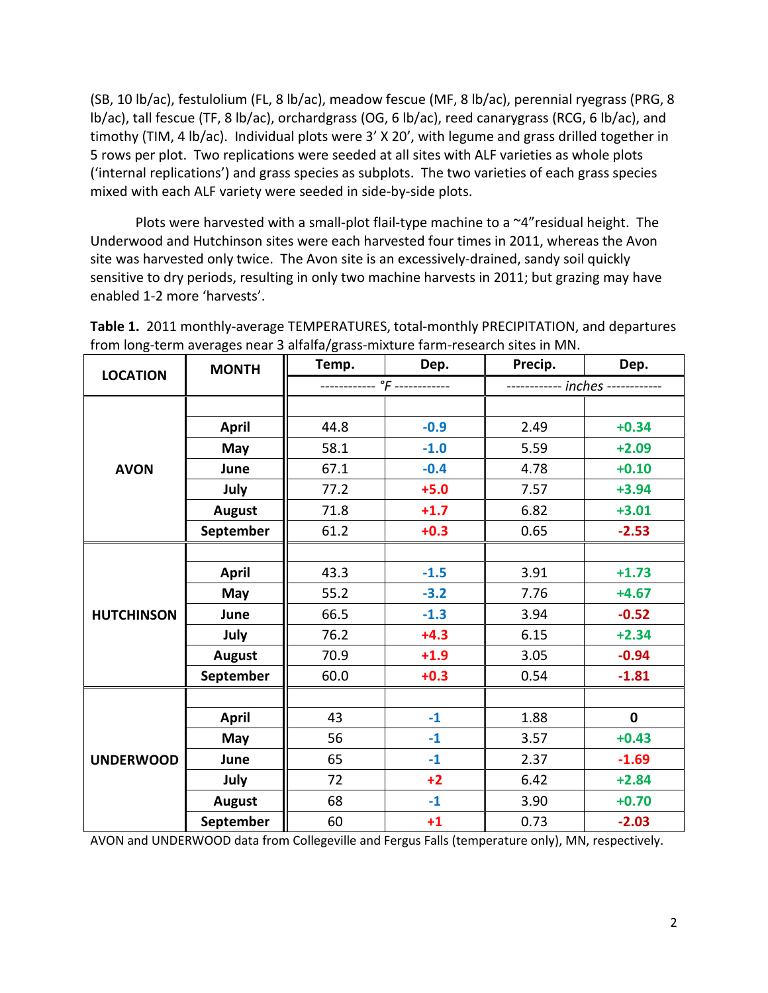(SB, 10 lb/ac), festulolium (FL, 8 lb/ac), meadow fescue (MF, 8 lb/ac), perennial ryegrass (PRG, 8 lb/ac), tall fescue (TF, 8 lb/ac), orchardgrass (OG, 6 lb/ac), reed canarygrass (RCG, 6 lb/ac), and timothy (TIM, 4 lb/ac). Individual plots were 3' X 20', with legume and grass drilled together in 5 rows per plot. Two replications were seeded at all sites with ALF varieties as whole plots ('internal replications') and grass species as subplots. The two varieties of each grass species mixed with each ALF variety were seeded in side-by-side plots.

Plots were harvested with a small-plot flail-type machine to a  $\sim$ 4" residual height. The Underwood and Hutchinson sites were each harvested four times in 2011, whereas the Avon site was harvested only twice. The Avon site is an excessively-drained, sandy soil quickly sensitive to dry periods, resulting in only two machine harvests in 2011; but grazing may have enabled 1-2 more 'harvests'.

| <b>MONTH</b><br><b>LOCATION</b> | Temp.         | Dep. | Precip. | Dep.                            |             |  |
|---------------------------------|---------------|------|---------|---------------------------------|-------------|--|
|                                 |               |      |         | ----------- inches ------------ |             |  |
|                                 |               |      |         |                                 |             |  |
|                                 | <b>April</b>  | 44.8 | $-0.9$  | 2.49                            | $+0.34$     |  |
|                                 | May           | 58.1 | $-1.0$  | 5.59                            | $+2.09$     |  |
| <b>AVON</b>                     | June          | 67.1 | $-0.4$  | 4.78                            | $+0.10$     |  |
|                                 | July          | 77.2 | $+5.0$  | 7.57                            | $+3.94$     |  |
|                                 | <b>August</b> | 71.8 | $+1.7$  | 6.82                            | $+3.01$     |  |
|                                 | September     | 61.2 | $+0.3$  | 0.65                            | $-2.53$     |  |
|                                 |               |      |         |                                 |             |  |
|                                 | <b>April</b>  | 43.3 | $-1.5$  | 3.91                            | $+1.73$     |  |
|                                 | May           | 55.2 | $-3.2$  | 7.76                            | $+4.67$     |  |
| <b>HUTCHINSON</b>               | June          | 66.5 | $-1.3$  | 3.94                            | $-0.52$     |  |
|                                 | July          | 76.2 | $+4.3$  | 6.15                            | $+2.34$     |  |
|                                 | <b>August</b> | 70.9 | $+1.9$  | 3.05                            | $-0.94$     |  |
|                                 | September     | 60.0 | $+0.3$  | 0.54                            | $-1.81$     |  |
|                                 |               |      |         |                                 |             |  |
|                                 | <b>April</b>  | 43   | $-1$    | 1.88                            | $\mathbf 0$ |  |
|                                 | May           | 56   | $-1$    | 3.57                            | $+0.43$     |  |
| <b>UNDERWOOD</b>                | June          | 65   | $-1$    | 2.37                            | $-1.69$     |  |
|                                 | July          | 72   | $+2$    | 6.42                            | $+2.84$     |  |
|                                 | <b>August</b> | 68   | $-1$    | 3.90                            | $+0.70$     |  |
|                                 | September     | 60   | $+1$    | 0.73                            | $-2.03$     |  |

**Table 1.** 2011 monthly-average TEMPERATURES, total-monthly PRECIPITATION, and departures from long-term averages near 3 alfalfa/grass-mixture farm-research sites in MN.

AVON and UNDERWOOD data from Collegeville and Fergus Falls (temperature only), MN, respectively.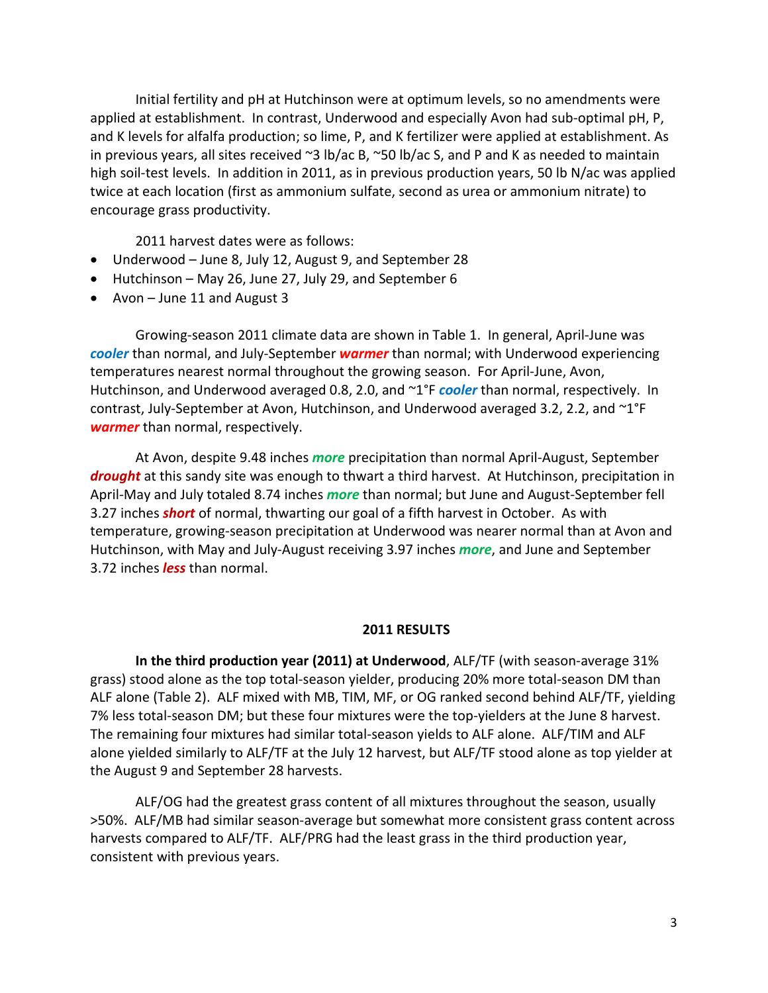Initial fertility and pH at Hutchinson were at optimum levels, so no amendments were applied at establishment. In contrast, Underwood and especially Avon had sub-optimal pH, P, and K levels for alfalfa production; so lime, P, and K fertilizer were applied at establishment. As in previous years, all sites received ~3 lb/ac B, ~50 lb/ac S, and P and K as needed to maintain high soil-test levels. In addition in 2011, as in previous production years, 50 lb N/ac was applied twice at each location (first as ammonium sulfate, second as urea or ammonium nitrate) to encourage grass productivity.

2011 harvest dates were as follows:

- Underwood June 8, July 12, August 9, and September 28
- Hutchinson May 26, June 27, July 29, and September 6
- Avon June 11 and August 3

Growing-season 2011 climate data are shown in Table 1. In general, April-June was *cooler* than normal, and July-September *warmer* than normal; with Underwood experiencing temperatures nearest normal throughout the growing season. For April-June, Avon, Hutchinson, and Underwood averaged 0.8, 2.0, and ~1<sup>°</sup>F *cooler* than normal, respectively. In contrast, July-September at Avon, Hutchinson, and Underwood averaged 3.2, 2.2, and ~1°F *warmer* than normal, respectively.

At Avon, despite 9.48 inches *more* precipitation than normal April-August, September *drought* at this sandy site was enough to thwart a third harvest. At Hutchinson, precipitation in April-May and July totaled 8.74 inches *more* than normal; but June and August-September fell 3.27 inches *short* of normal, thwarting our goal of a fifth harvest in October. As with temperature, growing-season precipitation at Underwood was nearer normal than at Avon and Hutchinson, with May and July-August receiving 3.97 inches *more*, and June and September 3.72 inches *less* than normal.

#### **2011 RESULTS**

**In the third production year (2011) at Underwood**, ALF/TF (with season-average 31% grass) stood alone as the top total-season yielder, producing 20% more total-season DM than ALF alone (Table 2). ALF mixed with MB, TIM, MF, or OG ranked second behind ALF/TF, yielding 7% less total-season DM; but these four mixtures were the top-yielders at the June 8 harvest. The remaining four mixtures had similar total-season yields to ALF alone. ALF/TIM and ALF alone yielded similarly to ALF/TF at the July 12 harvest, but ALF/TF stood alone as top yielder at the August 9 and September 28 harvests.

ALF/OG had the greatest grass content of all mixtures throughout the season, usually >50%. ALF/MB had similar season-average but somewhat more consistent grass content across harvests compared to ALF/TF. ALF/PRG had the least grass in the third production year, consistent with previous years.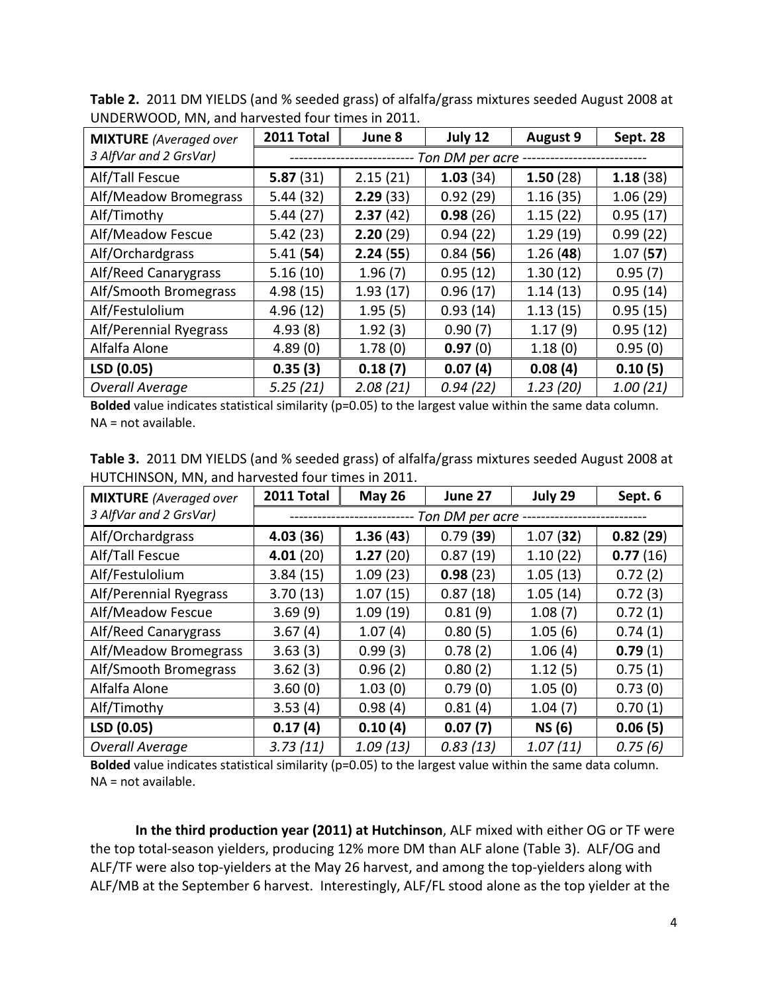| <b>MIXTURE</b> (Averaged over | 2011 Total | June 8   | July 12         | <b>August 9</b> | Sept. 28 |
|-------------------------------|------------|----------|-----------------|-----------------|----------|
| 3 AlfVar and 2 GrsVar)        |            |          | Ton DM per acre |                 |          |
| Alf/Tall Fescue               | 5.87(31)   | 2.15(21) | 1.03(34)        | 1.50(28)        | 1.18(38) |
| Alf/Meadow Bromegrass         | 5.44(32)   | 2.29(33) | 0.92(29)        | 1.16(35)        | 1.06(29) |
| Alf/Timothy                   | 5.44(27)   | 2.37(42) | 0.98(26)        | 1.15(22)        | 0.95(17) |
| Alf/Meadow Fescue             | 5.42(23)   | 2.20(29) | 0.94(22)        | 1.29(19)        | 0.99(22) |
| Alf/Orchardgrass              | 5.41(54)   | 2.24(55) | 0.84(56)        | 1.26(48)        | 1.07(57) |
| Alf/Reed Canarygrass          | 5.16(10)   | 1.96(7)  | 0.95(12)        | 1.30(12)        | 0.95(7)  |
| Alf/Smooth Bromegrass         | 4.98(15)   | 1.93(17) | 0.96(17)        | 1.14(13)        | 0.95(14) |
| Alf/Festulolium               | 4.96(12)   | 1.95(5)  | 0.93(14)        | 1.13(15)        | 0.95(15) |
| Alf/Perennial Ryegrass        | 4.93(8)    | 1.92(3)  | 0.90(7)         | 1.17(9)         | 0.95(12) |
| Alfalfa Alone                 | 4.89(0)    | 1.78(0)  | 0.97(0)         | 1.18(0)         | 0.95(0)  |
| LSD (0.05)                    | 0.35(3)    | 0.18(7)  | 0.07(4)         | 0.08(4)         | 0.10(5)  |
| <b>Overall Average</b>        | 5.25(21)   | 2.08(21) | 0.94(22)        | 1.23(20)        | 1.00(21) |

**Table 2.** 2011 DM YIELDS (and % seeded grass) of alfalfa/grass mixtures seeded August 2008 at UNDERWOOD, MN, and harvested four times in 2011.

**Bolded** value indicates statistical similarity (p=0.05) to the largest value within the same data column. NA = not available.

|  | Table 3. 2011 DM YIELDS (and % seeded grass) of alfalfa/grass mixtures seeded August 2008 at |  |  |
|--|----------------------------------------------------------------------------------------------|--|--|
|  | HUTCHINSON, MN, and harvested four times in 2011.                                            |  |  |

| <b>MIXTURE</b> (Averaged over | 2011 Total | <b>May 26</b> | June 27         | July 29       | Sept. 6  |
|-------------------------------|------------|---------------|-----------------|---------------|----------|
| 3 AlfVar and 2 GrsVar)        |            |               | Ton DM per acre |               |          |
| Alf/Orchardgrass              | 4.03(36)   | 1.36(43)      | 0.79(39)        | 1.07(32)      | 0.82(29) |
| Alf/Tall Fescue               | 4.01(20)   | 1.27(20)      | 0.87(19)        | 1.10(22)      | 0.77(16) |
| Alf/Festulolium               | 3.84(15)   | 1.09(23)      | 0.98(23)        | 1.05(13)      | 0.72(2)  |
| Alf/Perennial Ryegrass        | 3.70(13)   | 1.07(15)      | 0.87(18)        | 1.05(14)      | 0.72(3)  |
| Alf/Meadow Fescue             | 3.69(9)    | 1.09(19)      | 0.81(9)         | 1.08(7)       | 0.72(1)  |
| Alf/Reed Canarygrass          | 3.67(4)    | 1.07(4)       | 0.80(5)         | 1.05(6)       | 0.74(1)  |
| Alf/Meadow Bromegrass         | 3.63(3)    | 0.99(3)       | 0.78(2)         | 1.06(4)       | 0.79(1)  |
| Alf/Smooth Bromegrass         | 3.62(3)    | 0.96(2)       | 0.80(2)         | 1.12(5)       | 0.75(1)  |
| Alfalfa Alone                 | 3.60(0)    | 1.03(0)       | 0.79(0)         | 1.05(0)       | 0.73(0)  |
| Alf/Timothy                   | 3.53(4)    | 0.98(4)       | 0.81(4)         | 1.04(7)       | 0.70(1)  |
| LSD (0.05)                    | 0.17(4)    | 0.10(4)       | 0.07(7)         | <b>NS (6)</b> | 0.06(5)  |
| <b>Overall Average</b>        | 3.73(11)   | 1.09(13)      | 0.83(13)        | 1.07(11)      | 0.75(6)  |

**Bolded** value indicates statistical similarity (p=0.05) to the largest value within the same data column. NA = not available.

**In the third production year (2011) at Hutchinson**, ALF mixed with either OG or TF were the top total-season yielders, producing 12% more DM than ALF alone (Table 3). ALF/OG and ALF/TF were also top-yielders at the May 26 harvest, and among the top-yielders along with ALF/MB at the September 6 harvest. Interestingly, ALF/FL stood alone as the top yielder at the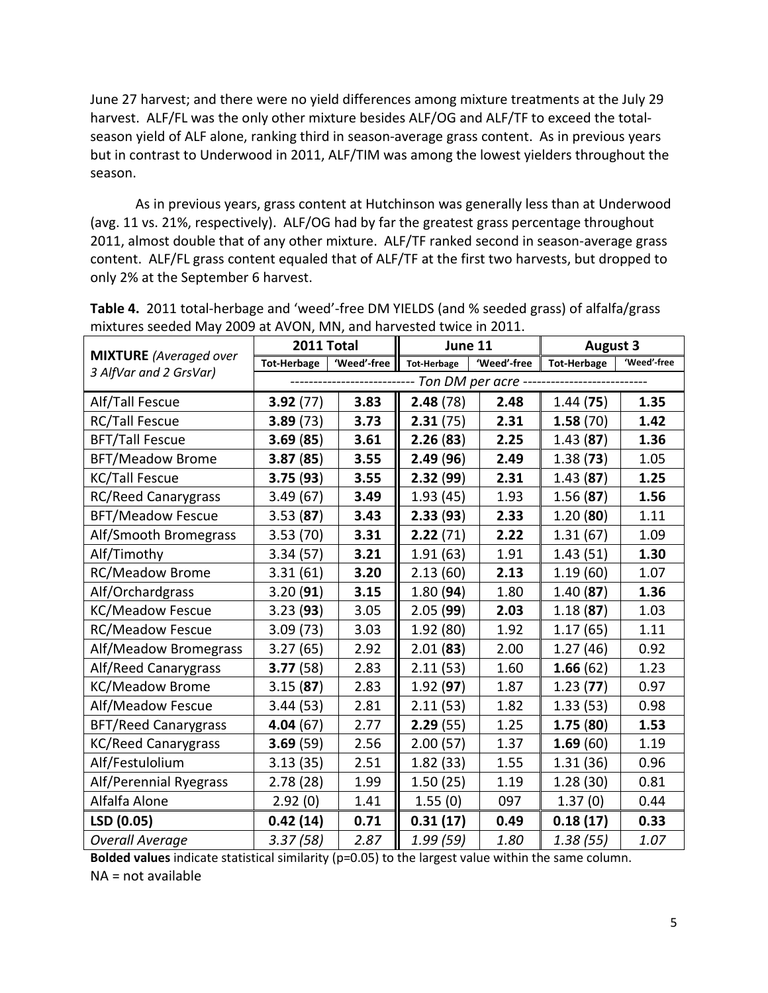June 27 harvest; and there were no yield differences among mixture treatments at the July 29 harvest. ALF/FL was the only other mixture besides ALF/OG and ALF/TF to exceed the totalseason yield of ALF alone, ranking third in season-average grass content. As in previous years but in contrast to Underwood in 2011, ALF/TIM was among the lowest yielders throughout the season.

As in previous years, grass content at Hutchinson was generally less than at Underwood (avg. 11 vs. 21%, respectively). ALF/OG had by far the greatest grass percentage throughout 2011, almost double that of any other mixture. ALF/TF ranked second in season-average grass content. ALF/FL grass content equaled that of ALF/TF at the first two harvests, but dropped to only 2% at the September 6 harvest.

|                                                         | 2011 Total         |             | June 11                                |             | <b>August 3</b>    |             |
|---------------------------------------------------------|--------------------|-------------|----------------------------------------|-------------|--------------------|-------------|
| <b>MIXTURE</b> (Averaged over<br>3 AlfVar and 2 GrsVar) | <b>Tot-Herbage</b> | 'Weed'-free | <b>Tot-Herbage</b>                     | 'Weed'-free | <b>Tot-Herbage</b> | 'Weed'-free |
|                                                         |                    |             | -------- Ton DM per acre ------------- |             |                    |             |
| Alf/Tall Fescue                                         | 3.92(77)           | 3.83        | 2.48(78)                               | 2.48        | 1.44(75)           | 1.35        |
| <b>RC/Tall Fescue</b>                                   | 3.89(73)           | 3.73        | 2.31(75)                               | 2.31        | 1.58(70)           | 1.42        |
| <b>BFT/Tall Fescue</b>                                  | 3.69(85)           | 3.61        | 2.26(83)                               | 2.25        | 1.43(87)           | 1.36        |
| <b>BFT/Meadow Brome</b>                                 | 3.87(85)           | 3.55        | 2.49(96)                               | 2.49        | 1.38(73)           | 1.05        |
| <b>KC/Tall Fescue</b>                                   | 3.75(93)           | 3.55        | 2.32(99)                               | 2.31        | 1.43(87)           | 1.25        |
| <b>RC/Reed Canarygrass</b>                              | 3.49(67)           | 3.49        | 1.93(45)                               | 1.93        | 1.56(87)           | 1.56        |
| <b>BFT/Meadow Fescue</b>                                | 3.53(87)           | 3.43        | 2.33(93)                               | 2.33        | 1.20(80)           | 1.11        |
| Alf/Smooth Bromegrass                                   | 3.53(70)           | 3.31        | 2.22(71)                               | 2.22        | 1.31(67)           | 1.09        |
| Alf/Timothy                                             | 3.34(57)           | 3.21        | 1.91(63)                               | 1.91        | 1.43(51)           | 1.30        |
| <b>RC/Meadow Brome</b>                                  | 3.31(61)           | 3.20        | 2.13(60)                               | 2.13        | 1.19(60)           | 1.07        |
| Alf/Orchardgrass                                        | 3.20(91)           | 3.15        | 1.80(94)                               | 1.80        | 1.40(87)           | 1.36        |
| <b>KC/Meadow Fescue</b>                                 | 3.23(93)           | 3.05        | 2.05(99)                               | 2.03        | 1.18(87)           | 1.03        |
| <b>RC/Meadow Fescue</b>                                 | 3.09(73)           | 3.03        | 1.92(80)                               | 1.92        | 1.17(65)           | 1.11        |
| Alf/Meadow Bromegrass                                   | 3.27(65)           | 2.92        | 2.01(83)                               | 2.00        | 1.27(46)           | 0.92        |
| Alf/Reed Canarygrass                                    | 3.77(58)           | 2.83        | 2.11(53)                               | 1.60        | 1.66(62)           | 1.23        |
| <b>KC/Meadow Brome</b>                                  | 3.15(87)           | 2.83        | 1.92(97)                               | 1.87        | 1.23(77)           | 0.97        |
| Alf/Meadow Fescue                                       | 3.44(53)           | 2.81        | 2.11(53)                               | 1.82        | 1.33(53)           | 0.98        |
| <b>BFT/Reed Canarygrass</b>                             | 4.04(67)           | 2.77        | 2.29(55)                               | 1.25        | 1.75(80)           | 1.53        |
| <b>KC/Reed Canarygrass</b>                              | 3.69(59)           | 2.56        | 2.00(57)                               | 1.37        | 1.69(60)           | 1.19        |
| Alf/Festulolium                                         | 3.13(35)           | 2.51        | 1.82(33)                               | 1.55        | 1.31(36)           | 0.96        |
| Alf/Perennial Ryegrass                                  | 2.78(28)           | 1.99        | 1.50(25)                               | 1.19        | 1.28(30)           | 0.81        |
| Alfalfa Alone                                           | 2.92(0)            | 1.41        | 1.55(0)                                | 097         | 1.37(0)            | 0.44        |
| LSD (0.05)                                              | 0.42(14)           | 0.71        | 0.31(17)                               | 0.49        | 0.18(17)           | 0.33        |
| <b>Overall Average</b>                                  | 3.37(58)           | 2.87        | 1.99 (59)                              | 1.80        | 1.38(55)           | 1.07        |

**Table 4.** 2011 total-herbage and 'weed'-free DM YIELDS (and % seeded grass) of alfalfa/grass mixtures seeded May 2009 at AVON, MN, and harvested twice in 2011.

**Bolded values** indicate statistical similarity (p=0.05) to the largest value within the same column.

NA = not available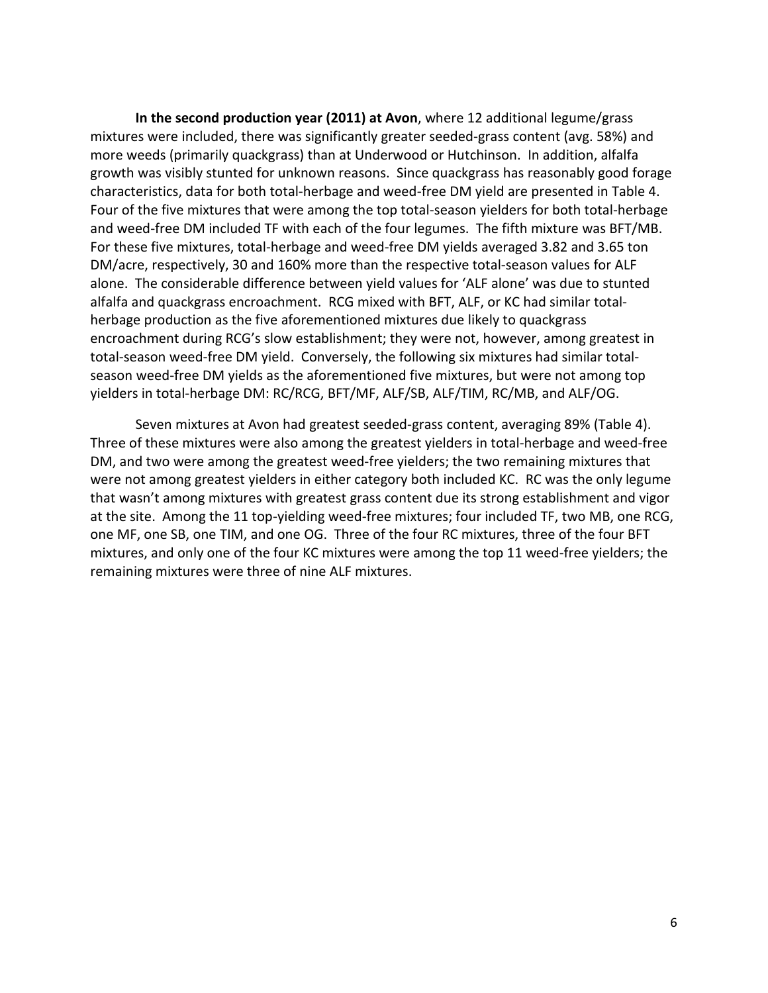**In the second production year (2011) at Avon**, where 12 additional legume/grass mixtures were included, there was significantly greater seeded-grass content (avg. 58%) and more weeds (primarily quackgrass) than at Underwood or Hutchinson. In addition, alfalfa growth was visibly stunted for unknown reasons. Since quackgrass has reasonably good forage characteristics, data for both total-herbage and weed-free DM yield are presented in Table 4. Four of the five mixtures that were among the top total-season yielders for both total-herbage and weed-free DM included TF with each of the four legumes. The fifth mixture was BFT/MB. For these five mixtures, total-herbage and weed-free DM yields averaged 3.82 and 3.65 ton DM/acre, respectively, 30 and 160% more than the respective total-season values for ALF alone. The considerable difference between yield values for 'ALF alone' was due to stunted alfalfa and quackgrass encroachment. RCG mixed with BFT, ALF, or KC had similar totalherbage production as the five aforementioned mixtures due likely to quackgrass encroachment during RCG's slow establishment; they were not, however, among greatest in total-season weed-free DM yield. Conversely, the following six mixtures had similar totalseason weed-free DM yields as the aforementioned five mixtures, but were not among top yielders in total-herbage DM: RC/RCG, BFT/MF, ALF/SB, ALF/TIM, RC/MB, and ALF/OG.

Seven mixtures at Avon had greatest seeded-grass content, averaging 89% (Table 4). Three of these mixtures were also among the greatest yielders in total-herbage and weed-free DM, and two were among the greatest weed-free yielders; the two remaining mixtures that were not among greatest yielders in either category both included KC. RC was the only legume that wasn't among mixtures with greatest grass content due its strong establishment and vigor at the site. Among the 11 top-yielding weed-free mixtures; four included TF, two MB, one RCG, one MF, one SB, one TIM, and one OG. Three of the four RC mixtures, three of the four BFT mixtures, and only one of the four KC mixtures were among the top 11 weed-free yielders; the remaining mixtures were three of nine ALF mixtures.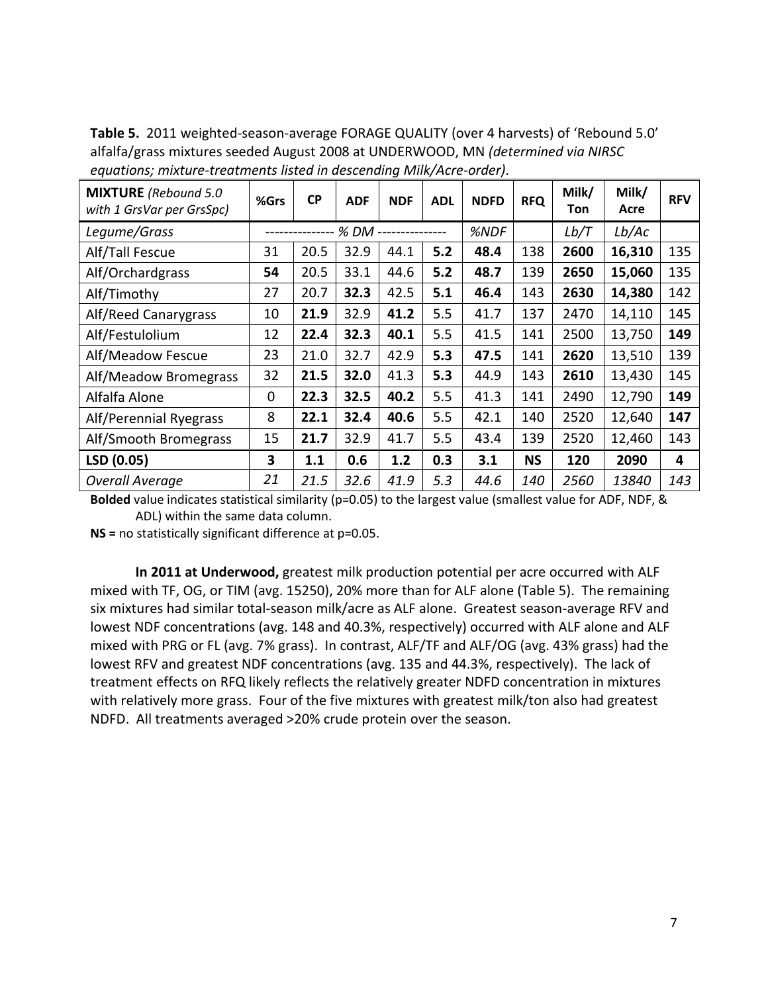| equations; mixture-treatments ilsted in descending wilk/Acre-order). |      |           |            |            |            |             |            |              |               |            |
|----------------------------------------------------------------------|------|-----------|------------|------------|------------|-------------|------------|--------------|---------------|------------|
| <b>MIXTURE</b> (Rebound 5.0<br>with 1 GrsVar per GrsSpc)             | %Grs | <b>CP</b> | <b>ADF</b> | <b>NDF</b> | <b>ADL</b> | <b>NDFD</b> | <b>RFQ</b> | Milk/<br>Ton | Milk/<br>Acre | <b>RFV</b> |
| Legume/Grass                                                         |      |           | % DM       |            |            | %NDF        |            | Lb/T         | Lb/AC         |            |
| Alf/Tall Fescue                                                      | 31   | 20.5      | 32.9       | 44.1       | 5.2        | 48.4        | 138        | 2600         | 16,310        | 135        |
| Alf/Orchardgrass                                                     | 54   | 20.5      | 33.1       | 44.6       | 5.2        | 48.7        | 139        | 2650         | 15,060        | 135        |
| Alf/Timothy                                                          | 27   | 20.7      | 32.3       | 42.5       | 5.1        | 46.4        | 143        | 2630         | 14,380        | 142        |
| Alf/Reed Canarygrass                                                 | 10   | 21.9      | 32.9       | 41.2       | 5.5        | 41.7        | 137        | 2470         | 14,110        | 145        |
| Alf/Festulolium                                                      | 12   | 22.4      | 32.3       | 40.1       | 5.5        | 41.5        | 141        | 2500         | 13,750        | 149        |
| Alf/Meadow Fescue                                                    | 23   | 21.0      | 32.7       | 42.9       | 5.3        | 47.5        | 141        | 2620         | 13,510        | 139        |
| Alf/Meadow Bromegrass                                                | 32   | 21.5      | 32.0       | 41.3       | 5.3        | 44.9        | 143        | 2610         | 13,430        | 145        |
| Alfalfa Alone                                                        | 0    | 22.3      | 32.5       | 40.2       | 5.5        | 41.3        | 141        | 2490         | 12,790        | 149        |
| Alf/Perennial Ryegrass                                               | 8    | 22.1      | 32.4       | 40.6       | 5.5        | 42.1        | 140        | 2520         | 12,640        | 147        |
| Alf/Smooth Bromegrass                                                | 15   | 21.7      | 32.9       | 41.7       | 5.5        | 43.4        | 139        | 2520         | 12,460        | 143        |
| LSD (0.05)                                                           | 3    | 1.1       | 0.6        | 1.2        | 0.3        | 3.1         | <b>NS</b>  | 120          | 2090          | 4          |
| <b>Overall Average</b>                                               | 21   | 21.5      | 32.6       | 41.9       | 5.3        | 44.6        | 140        | 2560         | 13840         | 143        |

**Table 5.** 2011 weighted-season-average FORAGE QUALITY (over 4 harvests) of 'Rebound 5.0' alfalfa/grass mixtures seeded August 2008 at UNDERWOOD, MN *(determined via NIRSC equations; mixture-treatments listed in descending Milk/Acre-order)*.

**Bolded** value indicates statistical similarity (p=0.05) to the largest value (smallest value for ADF, NDF, & ADL) within the same data column.

**NS =** no statistically significant difference at p=0.05.

**In 2011 at Underwood,** greatest milk production potential per acre occurred with ALF mixed with TF, OG, or TIM (avg. 15250), 20% more than for ALF alone (Table 5). The remaining six mixtures had similar total-season milk/acre as ALF alone. Greatest season-average RFV and lowest NDF concentrations (avg. 148 and 40.3%, respectively) occurred with ALF alone and ALF mixed with PRG or FL (avg. 7% grass). In contrast, ALF/TF and ALF/OG (avg. 43% grass) had the lowest RFV and greatest NDF concentrations (avg. 135 and 44.3%, respectively). The lack of treatment effects on RFQ likely reflects the relatively greater NDFD concentration in mixtures with relatively more grass. Four of the five mixtures with greatest milk/ton also had greatest NDFD. All treatments averaged >20% crude protein over the season.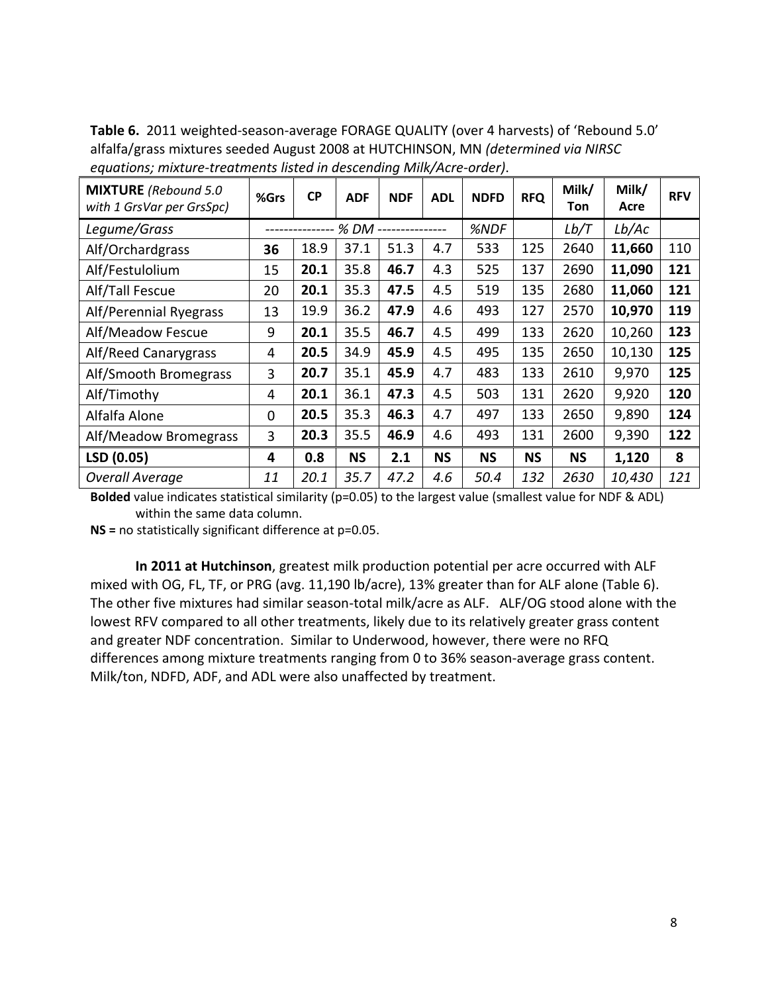**Table 6.** 2011 weighted-season-average FORAGE QUALITY (over 4 harvests) of 'Rebound 5.0' alfalfa/grass mixtures seeded August 2008 at HUTCHINSON, MN *(determined via NIRSC equations; mixture-treatments listed in descending Milk/Acre-order)*.

| <b>MIXTURE</b> (Rebound 5.0<br>with 1 GrsVar per GrsSpc) | %Grs | <b>CP</b> | <b>ADF</b> | <b>NDF</b> | <b>ADL</b> | <b>NDFD</b> | <b>RFQ</b> | Milk/<br>Ton | Milk/<br>Acre | <b>RFV</b> |
|----------------------------------------------------------|------|-----------|------------|------------|------------|-------------|------------|--------------|---------------|------------|
| Legume/Grass                                             |      | % DM      |            |            |            | %NDF        |            | Lb/T         | Lb/AC         |            |
| Alf/Orchardgrass                                         | 36   | 18.9      | 37.1       | 51.3       | 4.7        | 533         | 125        | 2640         | 11,660        | 110        |
| Alf/Festulolium                                          | 15   | 20.1      | 35.8       | 46.7       | 4.3        | 525         | 137        | 2690         | 11,090        | 121        |
| Alf/Tall Fescue                                          | 20   | 20.1      | 35.3       | 47.5       | 4.5        | 519         | 135        | 2680         | 11,060        | 121        |
| Alf/Perennial Ryegrass                                   | 13   | 19.9      | 36.2       | 47.9       | 4.6        | 493         | 127        | 2570         | 10,970        | 119        |
| Alf/Meadow Fescue                                        | 9    | 20.1      | 35.5       | 46.7       | 4.5        | 499         | 133        | 2620         | 10,260        | 123        |
| Alf/Reed Canarygrass                                     | 4    | 20.5      | 34.9       | 45.9       | 4.5        | 495         | 135        | 2650         | 10,130        | 125        |
| Alf/Smooth Bromegrass                                    | 3    | 20.7      | 35.1       | 45.9       | 4.7        | 483         | 133        | 2610         | 9,970         | 125        |
| Alf/Timothy                                              | 4    | 20.1      | 36.1       | 47.3       | 4.5        | 503         | 131        | 2620         | 9,920         | 120        |
| Alfalfa Alone                                            | 0    | 20.5      | 35.3       | 46.3       | 4.7        | 497         | 133        | 2650         | 9,890         | 124        |
| Alf/Meadow Bromegrass                                    | 3    | 20.3      | 35.5       | 46.9       | 4.6        | 493         | 131        | 2600         | 9,390         | 122        |
| LSD (0.05)                                               | 4    | 0.8       | <b>NS</b>  | 2.1        | <b>NS</b>  | <b>NS</b>   | <b>NS</b>  | <b>NS</b>    | 1,120         | 8          |
| <b>Overall Average</b>                                   | 11   | 20.1      | 35.7       | 47.2       | 4.6        | 50.4        | 132        | 2630         | 10,430        | 121        |

**Bolded** value indicates statistical similarity (p=0.05) to the largest value (smallest value for NDF & ADL) within the same data column.

**NS =** no statistically significant difference at p=0.05.

**In 2011 at Hutchinson**, greatest milk production potential per acre occurred with ALF mixed with OG, FL, TF, or PRG (avg. 11,190 lb/acre), 13% greater than for ALF alone (Table 6). The other five mixtures had similar season-total milk/acre as ALF. ALF/OG stood alone with the lowest RFV compared to all other treatments, likely due to its relatively greater grass content and greater NDF concentration. Similar to Underwood, however, there were no RFQ differences among mixture treatments ranging from 0 to 36% season-average grass content. Milk/ton, NDFD, ADF, and ADL were also unaffected by treatment.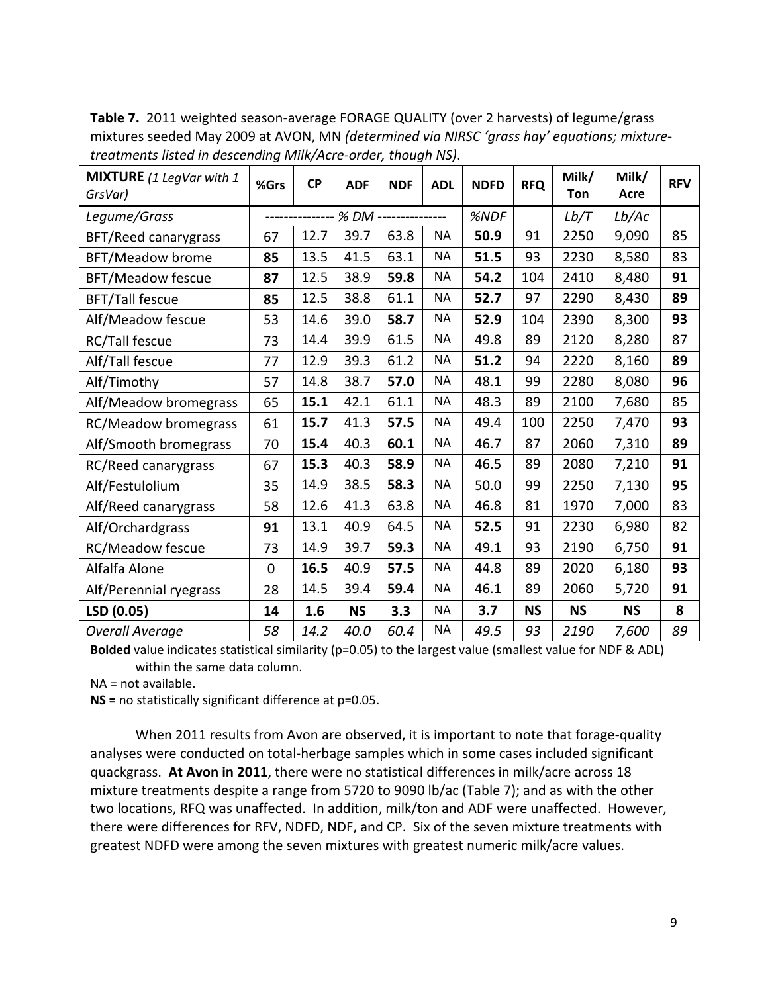| MIXTURE (1 LegVar with 1<br>GrsVar) | %Grs | <b>CP</b>                          | <b>ADF</b> | <b>NDF</b> | <b>ADL</b> | <b>NDFD</b> | <b>RFQ</b> | Milk/<br>Ton | Milk/<br>Acre | <b>RFV</b> |
|-------------------------------------|------|------------------------------------|------------|------------|------------|-------------|------------|--------------|---------------|------------|
| Legume/Grass                        |      | -------------- % DM -------------- |            |            |            | %NDF        |            | Lb/T         | Lb/AC         |            |
| BFT/Reed canarygrass                | 67   | 12.7                               | 39.7       | 63.8       | <b>NA</b>  | 50.9        | 91         | 2250         | 9,090         | 85         |
| BFT/Meadow brome                    | 85   | 13.5                               | 41.5       | 63.1       | <b>NA</b>  | 51.5        | 93         | 2230         | 8,580         | 83         |
| <b>BFT/Meadow fescue</b>            | 87   | 12.5                               | 38.9       | 59.8       | <b>NA</b>  | 54.2        | 104        | 2410         | 8,480         | 91         |
| <b>BFT/Tall fescue</b>              | 85   | 12.5                               | 38.8       | 61.1       | <b>NA</b>  | 52.7        | 97         | 2290         | 8,430         | 89         |
| Alf/Meadow fescue                   | 53   | 14.6                               | 39.0       | 58.7       | <b>NA</b>  | 52.9        | 104        | 2390         | 8,300         | 93         |
| RC/Tall fescue                      | 73   | 14.4                               | 39.9       | 61.5       | <b>NA</b>  | 49.8        | 89         | 2120         | 8,280         | 87         |
| Alf/Tall fescue                     | 77   | 12.9                               | 39.3       | 61.2       | <b>NA</b>  | 51.2        | 94         | 2220         | 8,160         | 89         |
| Alf/Timothy                         | 57   | 14.8                               | 38.7       | 57.0       | <b>NA</b>  | 48.1        | 99         | 2280         | 8,080         | 96         |
| Alf/Meadow bromegrass               | 65   | 15.1                               | 42.1       | 61.1       | <b>NA</b>  | 48.3        | 89         | 2100         | 7,680         | 85         |
| <b>RC/Meadow bromegrass</b>         | 61   | 15.7                               | 41.3       | 57.5       | <b>NA</b>  | 49.4        | 100        | 2250         | 7,470         | 93         |
| Alf/Smooth bromegrass               | 70   | 15.4                               | 40.3       | 60.1       | <b>NA</b>  | 46.7        | 87         | 2060         | 7,310         | 89         |
| RC/Reed canarygrass                 | 67   | 15.3                               | 40.3       | 58.9       | <b>NA</b>  | 46.5        | 89         | 2080         | 7,210         | 91         |
| Alf/Festulolium                     | 35   | 14.9                               | 38.5       | 58.3       | <b>NA</b>  | 50.0        | 99         | 2250         | 7,130         | 95         |
| Alf/Reed canarygrass                | 58   | 12.6                               | 41.3       | 63.8       | <b>NA</b>  | 46.8        | 81         | 1970         | 7,000         | 83         |
| Alf/Orchardgrass                    | 91   | 13.1                               | 40.9       | 64.5       | <b>NA</b>  | 52.5        | 91         | 2230         | 6,980         | 82         |
| RC/Meadow fescue                    | 73   | 14.9                               | 39.7       | 59.3       | <b>NA</b>  | 49.1        | 93         | 2190         | 6,750         | 91         |
| Alfalfa Alone                       | 0    | 16.5                               | 40.9       | 57.5       | <b>NA</b>  | 44.8        | 89         | 2020         | 6,180         | 93         |
| Alf/Perennial ryegrass              | 28   | 14.5                               | 39.4       | 59.4       | <b>NA</b>  | 46.1        | 89         | 2060         | 5,720         | 91         |
| LSD (0.05)                          | 14   | 1.6                                | <b>NS</b>  | 3.3        | <b>NA</b>  | 3.7         | <b>NS</b>  | <b>NS</b>    | <b>NS</b>     | 8          |
| <b>Overall Average</b>              | 58   | 14.2                               | 40.0       | 60.4       | ΝA         | 49.5        | 93         | 2190         | 7,600         | 89         |

**Table 7.** 2011 weighted season-average FORAGE QUALITY (over 2 harvests) of legume/grass mixtures seeded May 2009 at AVON, MN *(determined via NIRSC 'grass hay' equations; mixturetreatments listed in descending Milk/Acre-order, though NS)*.

**Bolded** value indicates statistical similarity (p=0.05) to the largest value (smallest value for NDF & ADL) within the same data column.

NA = not available.

**NS =** no statistically significant difference at p=0.05.

When 2011 results from Avon are observed, it is important to note that forage-quality analyses were conducted on total-herbage samples which in some cases included significant quackgrass. **At Avon in 2011**, there were no statistical differences in milk/acre across 18 mixture treatments despite a range from 5720 to 9090 lb/ac (Table 7); and as with the other two locations, RFQ was unaffected. In addition, milk/ton and ADF were unaffected. However, there were differences for RFV, NDFD, NDF, and CP. Six of the seven mixture treatments with greatest NDFD were among the seven mixtures with greatest numeric milk/acre values.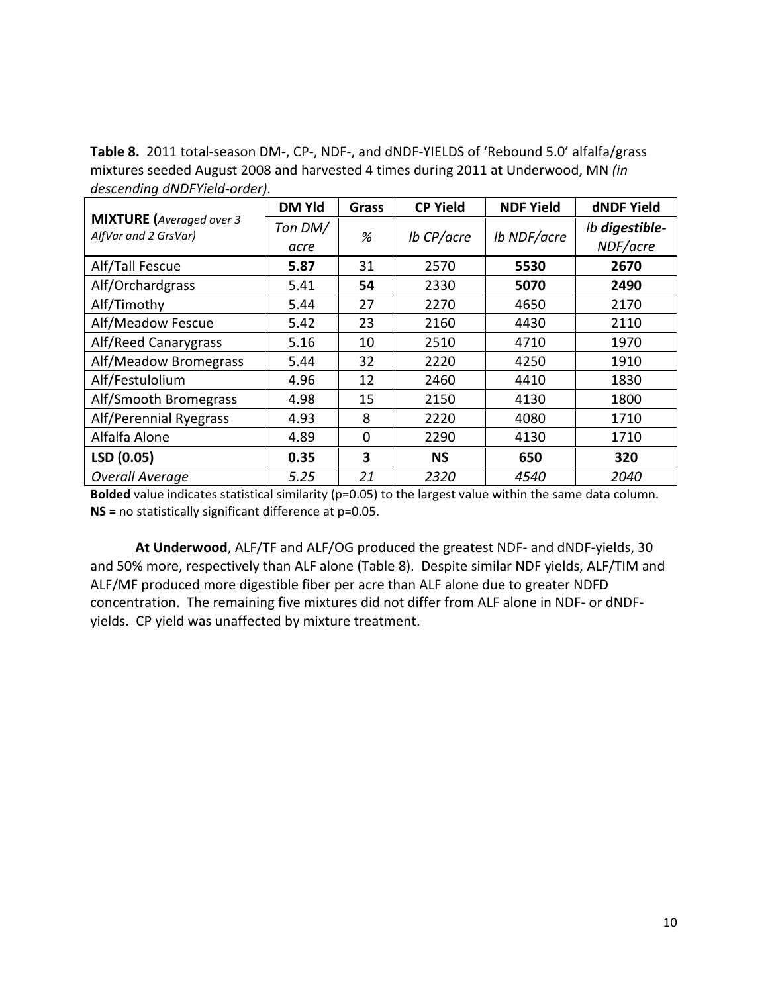**Table 8.** 2011 total-season DM-, CP-, NDF-, and dNDF-YIELDS of 'Rebound 5.0' alfalfa/grass mixtures seeded August 2008 and harvested 4 times during 2011 at Underwood, MN *(in descending dNDFYield-order)*.

|                                                         | <b>DM Yld</b>   | <b>Grass</b> | <b>CP Yield</b> | <b>NDF Yield</b> | <b>dNDF Yield</b>          |
|---------------------------------------------------------|-----------------|--------------|-----------------|------------------|----------------------------|
| <b>MIXTURE</b> (Averaged over 3<br>AlfVar and 2 GrsVar) | Ton DM/<br>acre | %            | lb CP/acre      | Ib NDF/acre      | Ib digestible-<br>NDF/acre |
| Alf/Tall Fescue                                         | 5.87            | 31           | 2570            | 5530             | 2670                       |
| Alf/Orchardgrass                                        | 5.41            | 54           | 2330            | 5070             | 2490                       |
| Alf/Timothy                                             | 5.44            | 27           | 2270            | 4650             | 2170                       |
| Alf/Meadow Fescue                                       | 5.42            | 23           | 2160            | 4430             | 2110                       |
| Alf/Reed Canarygrass                                    | 5.16            | 10           | 2510            | 4710             | 1970                       |
| Alf/Meadow Bromegrass                                   | 5.44            | 32           | 2220            | 4250             | 1910                       |
| Alf/Festulolium                                         | 4.96            | 12           | 2460            | 4410             | 1830                       |
| Alf/Smooth Bromegrass                                   | 4.98            | 15           | 2150            | 4130             | 1800                       |
| Alf/Perennial Ryegrass                                  | 4.93            | 8            | 2220            | 4080             | 1710                       |
| Alfalfa Alone                                           | 4.89            | $\Omega$     | 2290            | 4130             | 1710                       |
| LSD (0.05)                                              | 0.35            | 3            | <b>NS</b>       | 650              | 320                        |
| <b>Overall Average</b>                                  | 5.25            | 21           | 2320            | 4540             | 2040                       |

**Bolded** value indicates statistical similarity (p=0.05) to the largest value within the same data column. **NS =** no statistically significant difference at p=0.05.

**At Underwood**, ALF/TF and ALF/OG produced the greatest NDF- and dNDF-yields, 30 and 50% more, respectively than ALF alone (Table 8). Despite similar NDF yields, ALF/TIM and ALF/MF produced more digestible fiber per acre than ALF alone due to greater NDFD concentration. The remaining five mixtures did not differ from ALF alone in NDF- or dNDFyields. CP yield was unaffected by mixture treatment.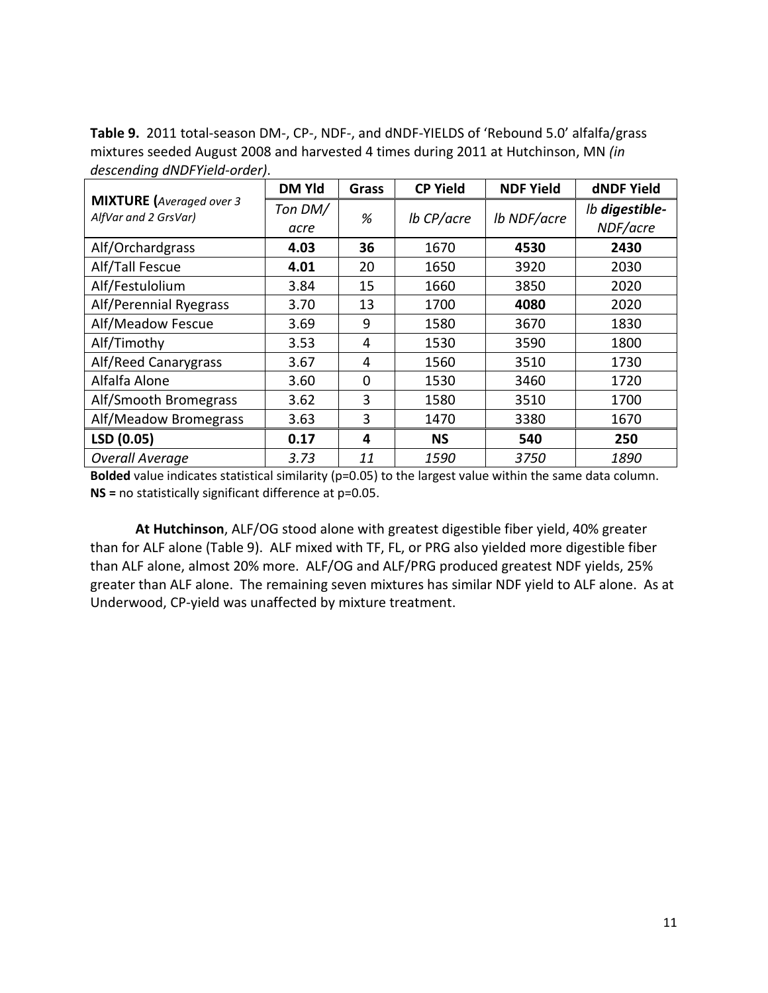**Table 9.** 2011 total-season DM-, CP-, NDF-, and dNDF-YIELDS of 'Rebound 5.0' alfalfa/grass mixtures seeded August 2008 and harvested 4 times during 2011 at Hutchinson, MN *(in descending dNDFYield-order)*.

|                                                         | <b>DM Yld</b>   | Grass    | <b>CP Yield</b> | <b>NDF Yield</b> | dNDF Yield                 |
|---------------------------------------------------------|-----------------|----------|-----------------|------------------|----------------------------|
| <b>MIXTURE</b> (Averaged over 3<br>AlfVar and 2 GrsVar) | Ton DM/<br>acre | %        | lb CP/acre      | Ib NDF/acre      | Ib digestible-<br>NDF/acre |
| Alf/Orchardgrass                                        | 4.03            | 36       | 1670            | 4530             | 2430                       |
| Alf/Tall Fescue                                         | 4.01            | 20       | 1650            | 3920             | 2030                       |
| Alf/Festulolium                                         | 3.84            | 15       | 1660            | 3850             | 2020                       |
| Alf/Perennial Ryegrass                                  | 3.70            | 13       | 1700            | 4080             | 2020                       |
| Alf/Meadow Fescue                                       | 3.69            | 9        | 1580            | 3670             | 1830                       |
| Alf/Timothy                                             | 3.53            | 4        | 1530            | 3590             | 1800                       |
| Alf/Reed Canarygrass                                    | 3.67            | 4        | 1560            | 3510             | 1730                       |
| Alfalfa Alone                                           | 3.60            | $\Omega$ | 1530            | 3460             | 1720                       |
| Alf/Smooth Bromegrass                                   | 3.62            | 3        | 1580            | 3510             | 1700                       |
| Alf/Meadow Bromegrass                                   | 3.63            | 3        | 1470            | 3380             | 1670                       |
| LSD (0.05)                                              | 0.17            | 4        | <b>NS</b>       | 540              | 250                        |
| <b>Overall Average</b>                                  | 3.73            | 11       | 1590            | 3750             | 1890                       |

**Bolded** value indicates statistical similarity (p=0.05) to the largest value within the same data column. **NS =** no statistically significant difference at p=0.05.

**At Hutchinson**, ALF/OG stood alone with greatest digestible fiber yield, 40% greater than for ALF alone (Table 9). ALF mixed with TF, FL, or PRG also yielded more digestible fiber than ALF alone, almost 20% more. ALF/OG and ALF/PRG produced greatest NDF yields, 25% greater than ALF alone. The remaining seven mixtures has similar NDF yield to ALF alone. As at Underwood, CP-yield was unaffected by mixture treatment.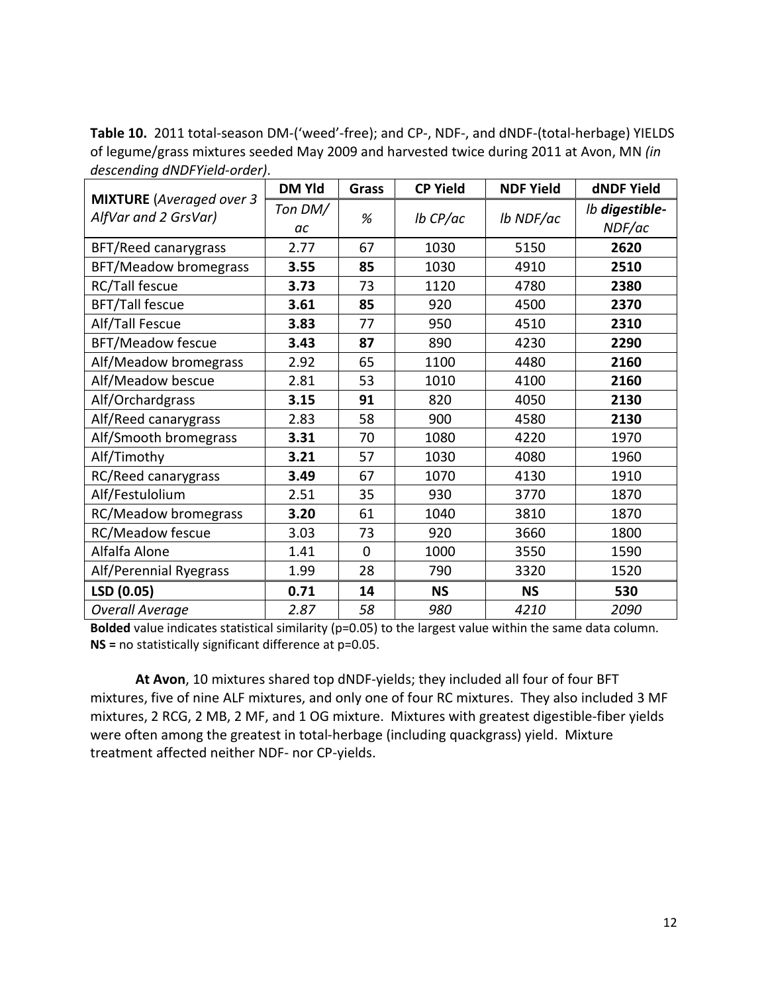**Table 10.** 2011 total-season DM-('weed'-free); and CP-, NDF-, and dNDF-(total-herbage) YIELDS of legume/grass mixtures seeded May 2009 and harvested twice during 2011 at Avon, MN *(in descending dNDFYield-order)*.

|                                                         | <b>DM Yld</b> | Grass | <b>CP Yield</b> | <b>NDF Yield</b> | <b>dNDF Yield</b>        |
|---------------------------------------------------------|---------------|-------|-----------------|------------------|--------------------------|
| <b>MIXTURE</b> (Averaged over 3<br>AlfVar and 2 GrsVar) | Ton DM/       | %     | $lb$ CP/ac      | lb NDF/ac        | Ib digestible-<br>NDF/ac |
|                                                         | ac            |       |                 |                  |                          |
| BFT/Reed canarygrass                                    | 2.77          | 67    | 1030            | 5150             | 2620                     |
| <b>BFT/Meadow bromegrass</b>                            | 3.55          | 85    | 1030            | 4910             | 2510                     |
| RC/Tall fescue                                          | 3.73          | 73    | 1120            | 4780             | 2380                     |
| <b>BFT/Tall fescue</b>                                  | 3.61          | 85    | 920             | 4500             | 2370                     |
| Alf/Tall Fescue                                         | 3.83          | 77    | 950             | 4510             | 2310                     |
| BFT/Meadow fescue                                       | 3.43          | 87    | 890             | 4230             | 2290                     |
| Alf/Meadow bromegrass                                   | 2.92          | 65    | 1100            | 4480             | 2160                     |
| Alf/Meadow bescue                                       | 2.81          | 53    | 1010            | 4100             | 2160                     |
| Alf/Orchardgrass                                        | 3.15          | 91    | 820             | 4050             | 2130                     |
| Alf/Reed canarygrass                                    | 2.83          | 58    | 900             | 4580             | 2130                     |
| Alf/Smooth bromegrass                                   | 3.31          | 70    | 1080            | 4220             | 1970                     |
| Alf/Timothy                                             | 3.21          | 57    | 1030            | 4080             | 1960                     |
| RC/Reed canarygrass                                     | 3.49          | 67    | 1070            | 4130             | 1910                     |
| Alf/Festulolium                                         | 2.51          | 35    | 930             | 3770             | 1870                     |
| RC/Meadow bromegrass                                    | 3.20          | 61    | 1040            | 3810             | 1870                     |
| <b>RC/Meadow fescue</b>                                 | 3.03          | 73    | 920             | 3660             | 1800                     |
| Alfalfa Alone                                           | 1.41          | 0     | 1000            | 3550             | 1590                     |
| Alf/Perennial Ryegrass                                  | 1.99          | 28    | 790             | 3320             | 1520                     |
| LSD (0.05)                                              | 0.71          | 14    | <b>NS</b>       | <b>NS</b>        | 530                      |
| <b>Overall Average</b>                                  | 2.87          | 58    | 980             | 4210             | 2090                     |

**Bolded** value indicates statistical similarity (p=0.05) to the largest value within the same data column. **NS =** no statistically significant difference at p=0.05.

**At Avon**, 10 mixtures shared top dNDF-yields; they included all four of four BFT mixtures, five of nine ALF mixtures, and only one of four RC mixtures. They also included 3 MF mixtures, 2 RCG, 2 MB, 2 MF, and 1 OG mixture. Mixtures with greatest digestible-fiber yields were often among the greatest in total-herbage (including quackgrass) yield. Mixture treatment affected neither NDF- nor CP-yields.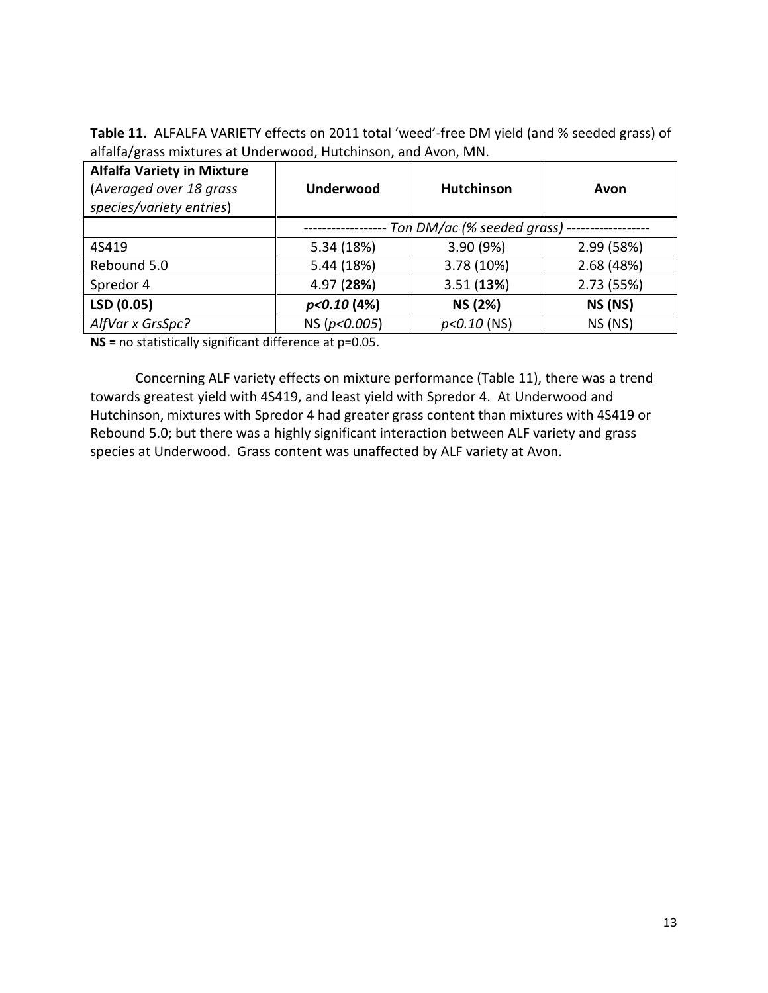**Table 11.** ALFALFA VARIETY effects on 2011 total 'weed'-free DM yield (and % seeded grass) of alfalfa/grass mixtures at Underwood, Hutchinson, and Avon, MN.

| <b>Alfalfa Variety in Mixture</b><br>(Averaged over 18 grass<br>species/variety entries) | <b>Underwood</b>              | <b>Hutchinson</b> | Avon       |  |  |  |  |  |
|------------------------------------------------------------------------------------------|-------------------------------|-------------------|------------|--|--|--|--|--|
|                                                                                          | Ton DM/ac (% seeded grass) -- |                   |            |  |  |  |  |  |
| 4S419                                                                                    | 5.34 (18%)                    | 3.90 (9%)         | 2.99 (58%) |  |  |  |  |  |
| Rebound 5.0                                                                              | 5.44 (18%)                    | 3.78 (10%)        | 2.68 (48%) |  |  |  |  |  |
| Spredor 4                                                                                | 4.97 (28%)                    | 3.51(13%)         | 2.73 (55%) |  |  |  |  |  |
| LSD (0.05)                                                                               | p<0.10(4%)                    | NS (2%)           | NS (NS)    |  |  |  |  |  |
| AlfVar x GrsSpc?                                                                         | NS (p<0.005)                  | $p<0.10$ (NS)     | $NS$ (NS)  |  |  |  |  |  |

**NS =** no statistically significant difference at p=0.05.

Concerning ALF variety effects on mixture performance (Table 11), there was a trend towards greatest yield with 4S419, and least yield with Spredor 4. At Underwood and Hutchinson, mixtures with Spredor 4 had greater grass content than mixtures with 4S419 or Rebound 5.0; but there was a highly significant interaction between ALF variety and grass species at Underwood. Grass content was unaffected by ALF variety at Avon.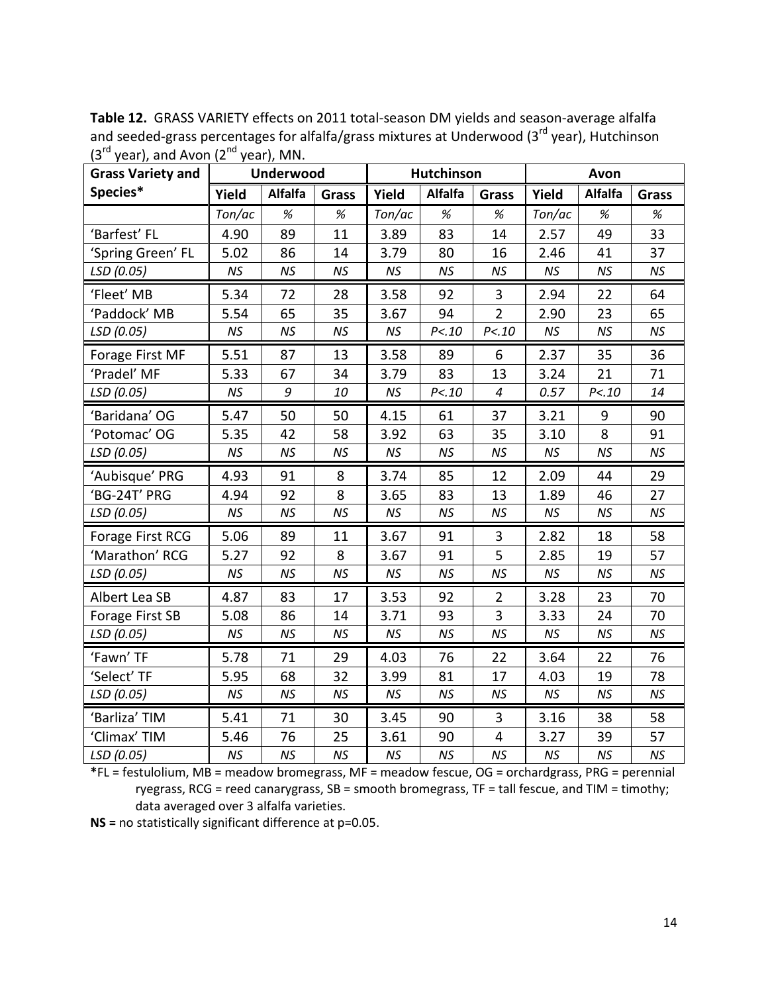| $\sim$ $\frac{1}{2}$ $\frac{1}{2}$ $\frac{1}{2}$ $\frac{1}{2}$ $\frac{1}{2}$ $\frac{1}{2}$ $\frac{1}{2}$ $\frac{1}{2}$ $\frac{1}{2}$ $\frac{1}{2}$ $\frac{1}{2}$ $\frac{1}{2}$ $\frac{1}{2}$ $\frac{1}{2}$ $\frac{1}{2}$ $\frac{1}{2}$ $\frac{1}{2}$ $\frac{1}{2}$ $\frac{1}{2}$ $\frac{1}{2}$ $\frac{1}{2}$ $\frac{1}{$<br><b>Grass Variety and</b> |           | <b>Underwood</b> |              | <b>Hutchinson</b> |                |                  | Avon      |                |       |
|------------------------------------------------------------------------------------------------------------------------------------------------------------------------------------------------------------------------------------------------------------------------------------------------------------------------------------------------------|-----------|------------------|--------------|-------------------|----------------|------------------|-----------|----------------|-------|
| Species*                                                                                                                                                                                                                                                                                                                                             | Yield     | Alfalfa          | <b>Grass</b> | Yield             | <b>Alfalfa</b> | <b>Grass</b>     | Yield     | <b>Alfalfa</b> | Grass |
|                                                                                                                                                                                                                                                                                                                                                      | Ton/ac    | $\%$             | $\%$         | Ton/ac            | $\%$           | $\%$             | Ton/ac    | $\%$           | $\%$  |
| 'Barfest' FL                                                                                                                                                                                                                                                                                                                                         | 4.90      | 89               | 11           | 3.89              | 83             | 14               | 2.57      | 49             | 33    |
| 'Spring Green' FL                                                                                                                                                                                                                                                                                                                                    | 5.02      | 86               | 14           | 3.79              | 80             | 16               | 2.46      | 41             | 37    |
| LSD (0.05)                                                                                                                                                                                                                                                                                                                                           | NS        | <b>NS</b>        | NS           | NS                | NS             | <b>NS</b>        | NS        | <b>NS</b>      | NS    |
| 'Fleet' MB                                                                                                                                                                                                                                                                                                                                           | 5.34      | 72               | 28           | 3.58              | 92             | 3                | 2.94      | 22             | 64    |
| 'Paddock' MB                                                                                                                                                                                                                                                                                                                                         | 5.54      | 65               | 35           | 3.67              | 94             | $\overline{2}$   | 2.90      | 23             | 65    |
| LSD (0.05)                                                                                                                                                                                                                                                                                                                                           | <b>NS</b> | NS               | <b>NS</b>    | NS                | P < 10         | P < 10           | <b>NS</b> | <b>NS</b>      | NS    |
| Forage First MF                                                                                                                                                                                                                                                                                                                                      | 5.51      | 87               | 13           | 3.58              | 89             | 6                | 2.37      | 35             | 36    |
| 'Pradel' MF                                                                                                                                                                                                                                                                                                                                          | 5.33      | 67               | 34           | 3.79              | 83             | 13               | 3.24      | 21             | 71    |
| LSD (0.05)                                                                                                                                                                                                                                                                                                                                           | NS        | 9                | 10           | NS                | P < 10         | $\boldsymbol{4}$ | 0.57      | P < 10         | 14    |
| 'Baridana' OG                                                                                                                                                                                                                                                                                                                                        | 5.47      | 50               | 50           | 4.15              | 61             | 37               | 3.21      | 9              | 90    |
| 'Potomac' OG                                                                                                                                                                                                                                                                                                                                         | 5.35      | 42               | 58           | 3.92              | 63             | 35               | 3.10      | 8              | 91    |
| LSD (0.05)                                                                                                                                                                                                                                                                                                                                           | <b>NS</b> | NS               | <b>NS</b>    | NS                | NS             | <b>NS</b>        | <b>NS</b> | <b>NS</b>      | NS    |
| 'Aubisque' PRG                                                                                                                                                                                                                                                                                                                                       | 4.93      | 91               | 8            | 3.74              | 85             | 12               | 2.09      | 44             | 29    |
| 'BG-24T' PRG                                                                                                                                                                                                                                                                                                                                         | 4.94      | 92               | 8            | 3.65              | 83             | 13               | 1.89      | 46             | 27    |
| LSD (0.05)                                                                                                                                                                                                                                                                                                                                           | <b>NS</b> | NS               | NS           | NS                | <b>NS</b>      | <b>NS</b>        | <b>NS</b> | <b>NS</b>      | NS    |
| Forage First RCG                                                                                                                                                                                                                                                                                                                                     | 5.06      | 89               | 11           | 3.67              | 91             | $\overline{3}$   | 2.82      | 18             | 58    |
| 'Marathon' RCG                                                                                                                                                                                                                                                                                                                                       | 5.27      | 92               | 8            | 3.67              | 91             | 5                | 2.85      | 19             | 57    |
| LSD (0.05)                                                                                                                                                                                                                                                                                                                                           | <b>NS</b> | NS               | NS           | NS                | <b>NS</b>      | NS               | <b>NS</b> | <b>NS</b>      | NS    |
| Albert Lea SB                                                                                                                                                                                                                                                                                                                                        | 4.87      | 83               | 17           | 3.53              | 92             | $\overline{2}$   | 3.28      | 23             | 70    |
| Forage First SB                                                                                                                                                                                                                                                                                                                                      | 5.08      | 86               | 14           | 3.71              | 93             | 3                | 3.33      | 24             | 70    |
| LSD (0.05)                                                                                                                                                                                                                                                                                                                                           | NS        | NS               | NS           | NS                | NS             | NS               | NS        | <b>NS</b>      | NS    |
| 'Fawn' TF                                                                                                                                                                                                                                                                                                                                            | 5.78      | 71               | 29           | 4.03              | 76             | 22               | 3.64      | 22             | 76    |
| 'Select' TF                                                                                                                                                                                                                                                                                                                                          | 5.95      | 68               | 32           | 3.99              | 81             | 17               | 4.03      | 19             | 78    |
| LSD (0.05)                                                                                                                                                                                                                                                                                                                                           | <b>NS</b> | NS               | NS           | NS                | NS             | <b>NS</b>        | <b>NS</b> | <b>NS</b>      | NS    |
| 'Barliza' TIM                                                                                                                                                                                                                                                                                                                                        | 5.41      | 71               | 30           | 3.45              | 90             | 3                | 3.16      | 38             | 58    |
| 'Climax' TIM                                                                                                                                                                                                                                                                                                                                         | 5.46      | 76               | 25           | 3.61              | 90             | 4                | 3.27      | 39             | 57    |
| LSD (0.05)                                                                                                                                                                                                                                                                                                                                           | NS        | NS               | NS           | NS                | <b>NS</b>      | <b>NS</b>        | <b>NS</b> | <b>NS</b>      | NS    |

**Table 12.** GRASS VARIETY effects on 2011 total-season DM yields and season-average alfalfa and seeded-grass percentages for alfalfa/grass mixtures at Underwood (3rd year), Hutchinson  $(3^{rd}$  year), and Avon  $(2^{nd}$  year), MN.

**\***FL = festulolium, MB = meadow bromegrass, MF = meadow fescue, OG = orchardgrass, PRG = perennial ryegrass, RCG = reed canarygrass, SB = smooth bromegrass, TF = tall fescue, and TIM = timothy; data averaged over 3 alfalfa varieties.

**NS =** no statistically significant difference at p=0.05.